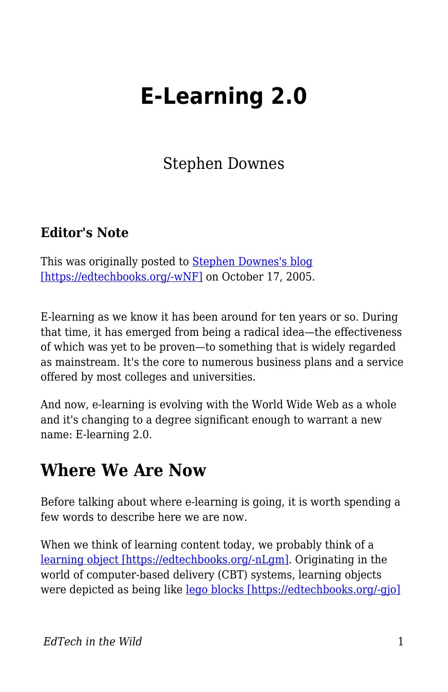# **E-Learning 2.0**

Stephen Downes

#### **Editor's Note**

This was originally posted to [Stephen Downes's blog](https://www.downes.ca/cgi-bin/page.cgi?post=31741) [\[https://edtechbooks.org/-wNF\]](https://www.downes.ca/cgi-bin/page.cgi?post=31741) on October 17, 2005.

E-learning as we know it has been around for ten years or so. During that time, it has emerged from being a radical idea—the effectiveness of which was yet to be proven—to something that is widely regarded as mainstream. It's the core to numerous business plans and a service offered by most colleges and universities.

And now, e-learning is evolving with the World Wide Web as a whole and it's changing to a degree significant enough to warrant a new name: E-learning 2.0.

#### **Where We Are Now**

Before talking about where e-learning is going, it is worth spending a few words to describe here we are now.

When we think of learning content today, we probably think of a [learning object \[https://edtechbooks.org/-nLgm\]](http://www.irrodl.org/content/v2.1/downes.html). Originating in the world of computer-based delivery (CBT) systems, learning objects were depicted as being like [lego blocks \[https://edtechbooks.org/-gjo\]](http://www.learnativity.com/standards.html)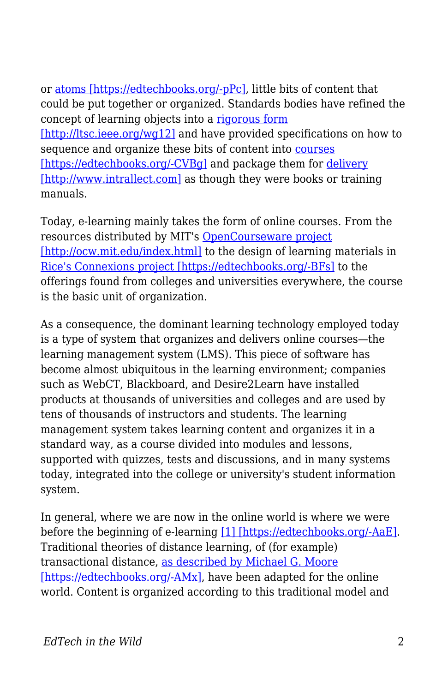or [atoms \[https://edtechbooks.org/-pPc\]](http://www.reusability.org/read), little bits of content that could be put together or organized. Standards bodies have refined the concept of learning objects into a [rigorous form](http://ltsc.ieee.org/wg12) [\[http://ltsc.ieee.org/wg12\]](http://ltsc.ieee.org/wg12) and have provided specifications on how to sequence and organize these bits of content into [courses](http://www.imsglobal.org/learningdesign) [\[https://edtechbooks.org/-CVBg\]](http://www.imsglobal.org/learningdesign) and package them for [delivery](http://www.intrallect.com) [\[http://www.intrallect.com\]](http://www.intrallect.com) as though they were books or training manuals.

Today, e-learning mainly takes the form of online courses. From the resources distributed by MIT's [OpenCourseware project](http://ocw.mit.edu/index.html) [\[http://ocw.mit.edu/index.html\]](http://ocw.mit.edu/index.html) to the design of learning materials in [Rice's Connexions project \[https://edtechbooks.org/-BFs\]](http://cnx.rice.edu/content/col10208/latest) to the offerings found from colleges and universities everywhere, the course is the basic unit of organization.

As a consequence, the dominant learning technology employed today is a type of system that organizes and delivers online courses—the learning management system (LMS). This piece of software has become almost ubiquitous in the learning environment; companies such as WebCT, Blackboard, and Desire2Learn have installed products at thousands of universities and colleges and are used by tens of thousands of instructors and students. The learning management system takes learning content and organizes it in a standard way, as a course divided into modules and lessons, supported with quizzes, tests and discussions, and in many systems today, integrated into the college or university's student information system.

In general, where we are now in the online world is where we were before the beginning of e-learning [\[1\] \[https://edtechbooks.org/-AaE\].](http://www.usask.ca/education/coursework/802papers/mergel/brenda.htm) Traditional theories of distance learning, of (for example) transactional distance, [as described by Michael G. Moore](http://www.ed.psu.edu/acsde/deos/deosnews/deosnews1_25.asp) [\[https://edtechbooks.org/-AMx\]](http://www.ed.psu.edu/acsde/deos/deosnews/deosnews1_25.asp), have been adapted for the online world. Content is organized according to this traditional model and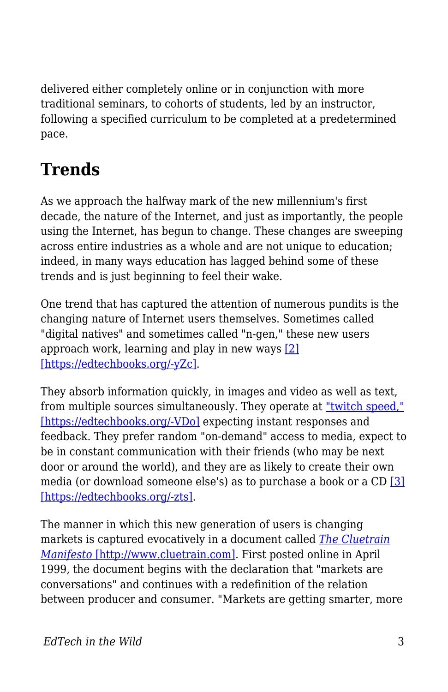delivered either completely online or in conjunction with more traditional seminars, to cohorts of students, led by an instructor, following a specified curriculum to be completed at a predetermined pace.

## **Trends**

As we approach the halfway mark of the new millennium's first decade, the nature of the Internet, and just as importantly, the people using the Internet, has begun to change. These changes are sweeping across entire industries as a whole and are not unique to education; indeed, in many ways education has lagged behind some of these trends and is just beginning to feel their wake.

One trend that has captured the attention of numerous pundits is the changing nature of Internet users themselves. Sometimes called "digital natives" and sometimes called "n-gen," these new users approach work, learning and play in new ways [\[2\]](http://www.growingupdigital.com) [\[https://edtechbooks.org/-yZc\].](http://www.growingupdigital.com)

They absorb information quickly, in images and video as well as text, from multiple sources simultaneously. They operate at ["twitch speed,"](http://www.games2train.com/site/html/article.html) [\[https://edtechbooks.org/-VDo\]](http://www.games2train.com/site/html/article.html) expecting instant responses and feedback. They prefer random "on-demand" access to media, expect to be in constant communication with their friends (who may be next door or around the world), and they are as likely to create their own media (or download someone else's) as to purchase a book or a CD [\[3\]](http://www.apple.com/au/education/digitalkids/disconnect/landscape.html) [\[https://edtechbooks.org/-zts\]](http://www.apple.com/au/education/digitalkids/disconnect/landscape.html).

The manner in which this new generation of users is changing markets is captured evocatively in a document called *[The Cluetrain](http://www.cluetrain.com) [Manifesto](http://www.cluetrain.com)* [\[http://www.cluetrain.com\]](http://www.cluetrain.com). First posted online in April 1999, the document begins with the declaration that "markets are conversations" and continues with a redefinition of the relation between producer and consumer. "Markets are getting smarter, more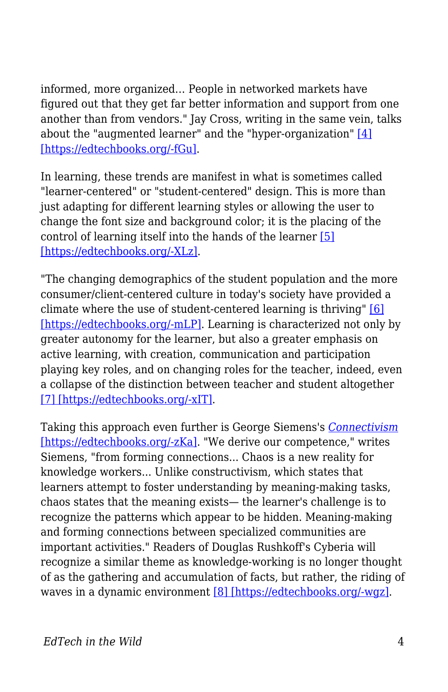informed, more organized… People in networked markets have figured out that they get far better information and support from one another than from vendors." Jay Cross, writing in the same vein, talks about the "augmented learner" and the "hyper-organization" [\[4\]](http://internettime.pa.v4.breezecentral.com/p20304607) [\[https://edtechbooks.org/-fGu\].](http://internettime.pa.v4.breezecentral.com/p20304607)

In learning, these trends are manifest in what is sometimes called "learner-centered" or "student-centered" design. This is more than just adapting for different learning styles or allowing the user to change the font size and background color; it is the placing of the control of learning itself into the hands of the learner [\[5\]](http://pdonline.ascd.org/pd_online/dol02/1992marzano_chapter1.html) [\[https://edtechbooks.org/-XLz\].](http://pdonline.ascd.org/pd_online/dol02/1992marzano_chapter1.html)

"The changing demographics of the student population and the more consumer/client-centered culture in today's society have provided a climate where the use of student-centered learning is thriving" [\[6\]](http://www.aishe.org/readings/2005-1/oneill-mcmahon-Tues_19th_Oct_SCL.html) [\[https://edtechbooks.org/-mLP\].](http://www.aishe.org/readings/2005-1/oneill-mcmahon-Tues_19th_Oct_SCL.html) Learning is characterized not only by greater autonomy for the learner, but also a greater emphasis on active learning, with creation, communication and participation playing key roles, and on changing roles for the teacher, indeed, even a collapse of the distinction between teacher and student altogether [\[7\] \[https://edtechbooks.org/-xIT\].](http://www.downes.ca/cgi-bin/website/view.cgi?dbs=Article&key=1120241890)

Taking this approach even further is George Siemens's *[Connectivism](http://www.elearnspace.org/Articles/connectivism.htm)* [\[https://edtechbooks.org/-zKa\]](http://www.elearnspace.org/Articles/connectivism.htm). "We derive our competence," writes Siemens, "from forming connections... Chaos is a new reality for knowledge workers... Unlike constructivism, which states that learners attempt to foster understanding by meaning-making tasks, chaos states that the meaning exists— the learner's challenge is to recognize the patterns which appear to be hidden. Meaning-making and forming connections between specialized communities are important activities." Readers of Douglas Rushkoff's Cyberia will recognize a similar theme as knowledge-working is no longer thought of as the gathering and accumulation of facts, but rather, the riding of waves in a dynamic environment [\[8\] \[https://edtechbooks.org/-wgz\].](http://www.voidspace.org.uk/cyberpunk/cyberia.shtml)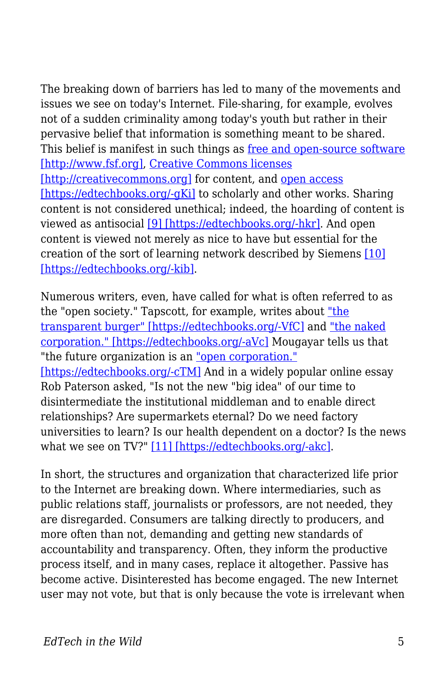The breaking down of barriers has led to many of the movements and issues we see on today's Internet. File-sharing, for example, evolves not of a sudden criminality among today's youth but rather in their pervasive belief that information is something meant to be shared. This belief is manifest in such things as [free and open-source software](http://www.fsf.org) [\[http://www.fsf.org\]](http://www.fsf.org), [Creative Commons licenses](http://creativecommons.org) [\[http://creativecommons.org\]](http://creativecommons.org) for content, and [open access](http://www.soros.org/openaccess) [\[https://edtechbooks.org/-gKi\]](http://www.soros.org/openaccess) to scholarly and other works. Sharing content is not considered unethical; indeed, the hoarding of content is viewed as antisocial [\[9\] \[https://edtechbooks.org/-hkr\]](http://www.downes.ca/cgi-bin/website/view.cgi?dbs=Article&key=1041806822). And open content is viewed not merely as nice to have but essential for the creation of the sort of learning network described by Siemens [\[10\]](http://www.downes.ca/dwiki/?id=Reusable+Media%2C+Social+Software+and+Openness+in+Education) [\[https://edtechbooks.org/-kib\].](http://www.downes.ca/dwiki/?id=Reusable+Media%2C+Social+Software+and+Openness+in+Education)

Numerous writers, even, have called for what is often referred to as the "open society." Tapscott, for example, writes about ["the](http://www.nplc.com/pdf/Tapscott_TransparentBurger.pdf) [transparent burger" \[https://edtechbooks.org/-VfC\]](http://www.nplc.com/pdf/Tapscott_TransparentBurger.pdf) and ["the naked](http://www.nakedcorporation.com) [corporation." \[https://edtechbooks.org/-aVc\]](http://www.nakedcorporation.com) Mougayar tells us that "the future organization is an ["open corporation."](http://edit.mougayar.com/OpenCorporation) [\[https://edtechbooks.org/-cTM\]](http://edit.mougayar.com/OpenCorporation) And in a widely popular online essay Rob Paterson asked, "Is not the new "big idea" of our time to disintermediate the institutional middleman and to enable direct relationships? Are supermarkets eternal? Do we need factory universities to learn? Is our health dependent on a doctor? Is the news what we see on TV?" [\[11\] \[https://edtechbooks.org/-akc\]](http://smartpei.typepad.com/robert_patersons_weblog/2005/02/going_home_our_.html).

In short, the structures and organization that characterized life prior to the Internet are breaking down. Where intermediaries, such as public relations staff, journalists or professors, are not needed, they are disregarded. Consumers are talking directly to producers, and more often than not, demanding and getting new standards of accountability and transparency. Often, they inform the productive process itself, and in many cases, replace it altogether. Passive has become active. Disinterested has become engaged. The new Internet user may not vote, but that is only because the vote is irrelevant when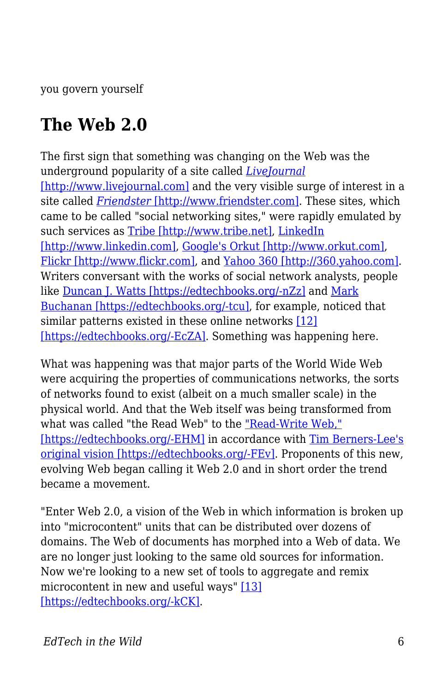you govern yourself

### **The Web 2.0**

The first sign that something was changing on the Web was the underground popularity of a site called *[LiveJournal](http://www.livejournal.com)* [\[http://www.livejournal.com\]](http://www.livejournal.com) and the very visible surge of interest in a site called *[Friendster](http://www.friendster.com)* [\[http://www.friendster.com\]](http://www.friendster.com). These sites, which came to be called "social networking sites," were rapidly emulated by such services as [Tribe \[http://www.tribe.net\]](http://www.tribe.net), [LinkedIn](http://www.linkedin.com) [\[http://www.linkedin.com\]](http://www.linkedin.com), [Google's Orkut \[http://www.orkut.com\],](http://www.orkut.com) [Flickr \[http://www.flickr.com\]](http://www.flickr.com), and [Yahoo 360 \[http://360.yahoo.com\]](http://360.yahoo.com). Writers conversant with the works of social network analysts, people like [Duncan J. Watts \[https://edtechbooks.org/-nZz\]](http://smallworld.columbia.edu/watts.html) and [Mark](http://www.wwnorton.com/catalog/spring02/004153.htm) [Buchanan \[https://edtechbooks.org/-tcu\]](http://www.wwnorton.com/catalog/spring02/004153.htm), for example, noticed that similar patterns existed in these online networks [\[12\]](http://www.shirky.com/writings/powerlaw_weblog.html) [\[https://edtechbooks.org/-EcZA\].](http://www.shirky.com/writings/powerlaw_weblog.html) Something was happening here.

What was happening was that major parts of the World Wide Web were acquiring the properties of communications networks, the sorts of networks found to exist (albeit on a much smaller scale) in the physical world. And that the Web itself was being transformed from what was called "the Read Web" to the ["Read-Write Web,"](http://www.authorama.com/we-the-media-3.html) [\[https://edtechbooks.org/-EHM\]](http://www.authorama.com/we-the-media-3.html) in accordance with [Tim Berners-Lee's](http://blogs.law.harvard.edu/lydon/2004/01/09#a477) [original vision \[https://edtechbooks.org/-FEv\].](http://blogs.law.harvard.edu/lydon/2004/01/09#a477) Proponents of this new, evolving Web began calling it Web 2.0 and in short order the trend became a movement.

"Enter Web 2.0, a vision of the Web in which information is broken up into "microcontent" units that can be distributed over dozens of domains. The Web of documents has morphed into a Web of data. We are no longer just looking to the same old sources for information. Now we're looking to a new set of tools to aggregate and remix microcontent in new and useful ways" [\[13\]](http://www.digital-web.com/articles/web_2_for_designers) [\[https://edtechbooks.org/-kCK\]](http://www.digital-web.com/articles/web_2_for_designers).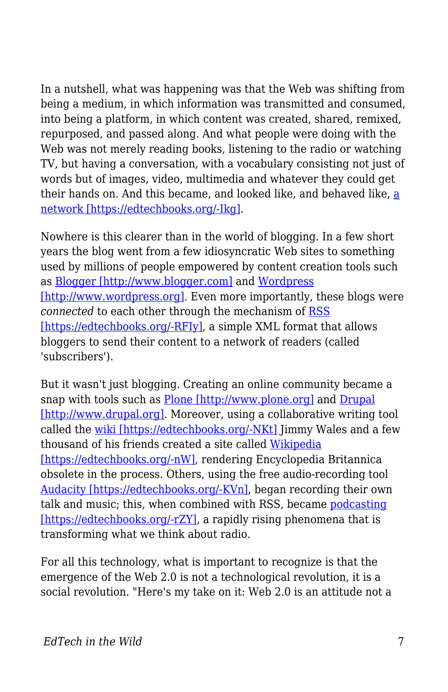In a nutshell, what was happening was that the Web was shifting from being a medium, in which information was transmitted and consumed, into being a platform, in which content was created, shared, remixed, repurposed, and passed along. And what people were doing with the Web was not merely reading books, listening to the radio or watching TV, but having a conversation, with a vocabulary consisting not just of words but of images, video, multimedia and whatever they could get their hands on. And this became, [a](http://www.downes.ca/cgi-bin/website/view.cgi?dbs=Article&key=1109302318)nd looked like, and behaved like, a [network \[https://edtechbooks.org/-Ikg\].](http://www.downes.ca/cgi-bin/website/view.cgi?dbs=Article&key=1109302318)

Nowhere is this clearer than in the world of blogging. In a few short years the blog went from a few idiosyncratic Web sites to something used by millions of people empowered by content creation tools such as [Blogger \[http://www.blogger.com\]](http://www.blogger.com) and [Wordpress](http://www.wordpress.org) [\[http://www.wordpress.org\].](http://www.wordpress.org) Even more importantly, these blogs were *connected* to each other through the mechanism of [RSS](http://www.xml.com/pub/a/2002/12/18/dive-into-xml.html) [\[https://edtechbooks.org/-RFIy\]](http://www.xml.com/pub/a/2002/12/18/dive-into-xml.html), a simple XML format that allows bloggers to send their content to a network of readers (called 'subscribers').

But it wasn't just blogging. Creating an online community became a snap with tools such as [Plone \[http://www.plone.org\]](http://www.plone.org) and [Drupal](http://www.drupal.org) [\[http://www.drupal.org\]](http://www.drupal.org). Moreover, using a collaborative writing tool called the [wiki \[https://edtechbooks.org/-NKt\]](http://wiki.org/wiki.cgi?WhatIsWiki) Jimmy Wales and a few thousand of his friends created a site called [Wikipedia](http://en.wikipedia.org/wiki/Main_Page) [\[https://edtechbooks.org/-nW\]](http://en.wikipedia.org/wiki/Main_Page), rendering Encyclopedia Britannica obsolete in the process. Others, using the free audio-recording tool [Audacity \[https://edtechbooks.org/-KVn\]](http://audacity.sourceforge.net), began recording their own talk and music; this, when combined with RSS, became [podcasting](http://en.wikipedia.org/wiki/Podcasting) [\[https://edtechbooks.org/-rZY\],](http://en.wikipedia.org/wiki/Podcasting) a rapidly rising phenomena that is transforming what we think about radio.

For all this technology, what is important to recognize is that the emergence of the Web 2.0 is not a technological revolution, it is a social revolution. "Here's my take on it: Web 2.0 is an attitude not a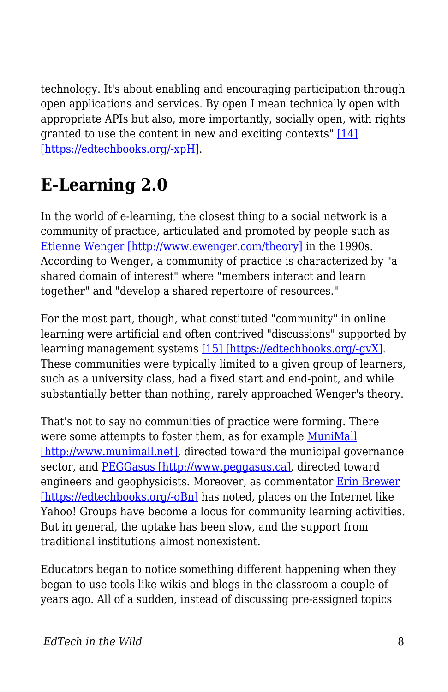technology. It's about enabling and encouraging participation through open applications and services. By open I mean technically open with appropriate APIs but also, more importantly, socially open, with rights granted to use the content in new and exciting contexts" [\[14\]](http://internetalchemy.org/2005/07/talis-web-20-and-all-that) [\[https://edtechbooks.org/-xpH\]](http://internetalchemy.org/2005/07/talis-web-20-and-all-that).

## **E-Learning 2.0**

In the world of e-learning, the closest thing to a social network is a community of practice, articulated and promoted by people such as [Etienne Wenger \[http://www.ewenger.com/theory\]](http://www.ewenger.com/theory) in the 1990s. According to Wenger, a community of practice is characterized by "a shared domain of interest" where "members interact and learn together" and "develop a shared repertoire of resources."

For the most part, though, what constituted "community" in online learning were artificial and often contrived "discussions" supported by learning management systems [\[15\] \[https://edtechbooks.org/-gvX\]](http://www.it.murdoch.edu.au/~sudweeks/papers/icier03.doc). These communities were typically limited to a given group of learners, such as a university class, had a fixed start and end-point, and while substantially better than nothing, rarely approached Wenger's theory.

That's not to say no communities of practice were forming. There were some attempts to foster them, as for example [MuniMall](http://www.munimall.net) [\[http://www.munimall.net\]](http://www.munimall.net), directed toward the municipal governance sector, and [PEGGasus \[http://www.peggasus.ca\]](http://www.peggasus.ca), directed toward engineers and geophysicists. Moreover, as commentator [Erin Brewer](http://www.downes.ca/cgi-bin/page.cgi?post=25) [\[https://edtechbooks.org/-oBn\]](http://www.downes.ca/cgi-bin/page.cgi?post=25) has noted, places on the Internet like Yahoo! Groups have become a locus for community learning activities. But in general, the uptake has been slow, and the support from traditional institutions almost nonexistent.

Educators began to notice something different happening when they began to use tools like wikis and blogs in the classroom a couple of years ago. All of a sudden, instead of discussing pre-assigned topics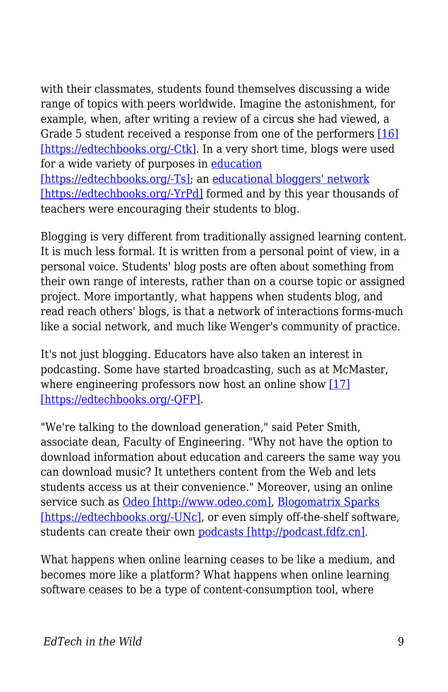with their classmates, students found themselves discussing a wide range of topics with peers worldwide. Imagine the astonishment, for example, when, after writing a review of a circus she had viewed, a Grade 5 student received a response from one of the performers [\[16\]](http://www.educause.edu/pub/er/erm04/erm0450.asp) [\[https://edtechbooks.org/-Ctk\]](http://www.educause.edu/pub/er/erm04/erm0450.asp). In a very short time, blogs were used for a wide variety of purposes in [education](http://www.edtechpost.ca/gems/matrix2.gif) [\[https://edtechbooks.org/-Ts\]](http://www.edtechpost.ca/gems/matrix2.gif); an [educational bloggers' network](http://www.ebn.weblogger.com%22) [\[https://edtechbooks.org/-YrPd\]](http://www.ebn.weblogger.com%22) formed and by this year thousands of teachers were encouraging their students to blog.

Blogging is very different from traditionally assigned learning content. It is much less formal. It is written from a personal point of view, in a personal voice. Students' blog posts are often about something from their own range of interests, rather than on a course topic or assigned project. More importantly, what happens when students blog, and read reach others' blogs, is that a network of interactions forms-much like a social network, and much like Wenger's community of practice.

It's not just blogging. Educators have also taken an interest in podcasting. Some have started broadcasting, such as at McMaster, where engineering professors now host an online show [\[17\]](http://www.thewhir.com/find/articlecentral/story.asp?recordid=1273) [\[https://edtechbooks.org/-QFP\]](http://www.thewhir.com/find/articlecentral/story.asp?recordid=1273).

"We're talking to the download generation," said Peter Smith, associate dean, Faculty of Engineering. "Why not have the option to download information about education and careers the same way you can download music? It untethers content from the Web and lets students access us at their convenience." Moreover, using an online service such as [Odeo \[http://www.odeo.com\],](http://www.odeo.com) [Blogomatrix Sparks](http://www.blogmatrix.com/products_main) [\[https://edtechbooks.org/-UNc\],](http://www.blogmatrix.com/products_main) or even simply off-the-shelf software, students can create their own [podcasts \[http://podcast.fdfz.cn\].](http://podcast.fdfz.cn)

What happens when online learning ceases to be like a medium, and becomes more like a platform? What happens when online learning software ceases to be a type of content-consumption tool, where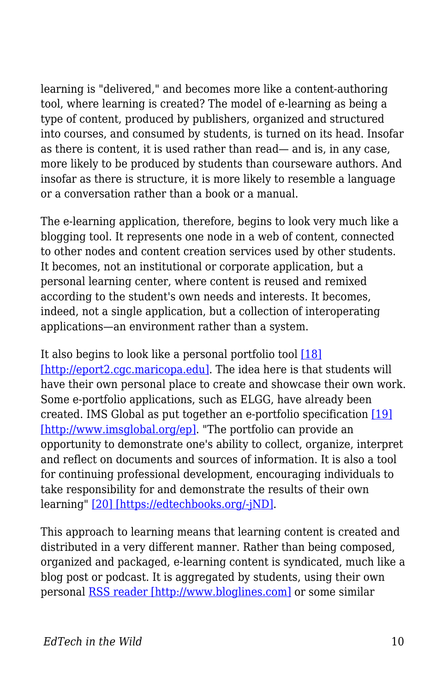learning is "delivered," and becomes more like a content-authoring tool, where learning is created? The model of e-learning as being a type of content, produced by publishers, organized and structured into courses, and consumed by students, is turned on its head. Insofar as there is content, it is used rather than read— and is, in any case, more likely to be produced by students than courseware authors. And insofar as there is structure, it is more likely to resemble a language or a conversation rather than a book or a manual.

The e-learning application, therefore, begins to look very much like a blogging tool. It represents one node in a web of content, connected to other nodes and content creation services used by other students. It becomes, not an institutional or corporate application, but a personal learning center, where content is reused and remixed according to the student's own needs and interests. It becomes, indeed, not a single application, but a collection of interoperating applications—an environment rather than a system.

It also begins to look like a personal portfolio tool [\[18\]](http://eport2.cgc.maricopa.edu) [\[http://eport2.cgc.maricopa.edu\].](http://eport2.cgc.maricopa.edu) The idea here is that students will have their own personal place to create and showcase their own work. Some e-portfolio applications, such as ELGG, have already been created. IMS Global as put together an e-portfolio specification [\[19\]](http://www.imsglobal.org/ep) [\[http://www.imsglobal.org/ep\]](http://www.imsglobal.org/ep). "The portfolio can provide an opportunity to demonstrate one's ability to collect, organize, interpret and reflect on documents and sources of information. It is also a tool for continuing professional development, encouraging individuals to take responsibility for and demonstrate the results of their own learning" [\[20\] \[https://edtechbooks.org/-jND\].](http://www.eife-l.org/portfolio)

This approach to learning means that learning content is created and distributed in a very different manner. Rather than being composed, organized and packaged, e-learning content is syndicated, much like a blog post or podcast. It is aggregated by students, using their own personal [RSS reader \[http://www.bloglines.com\]](http://www.bloglines.com) or some similar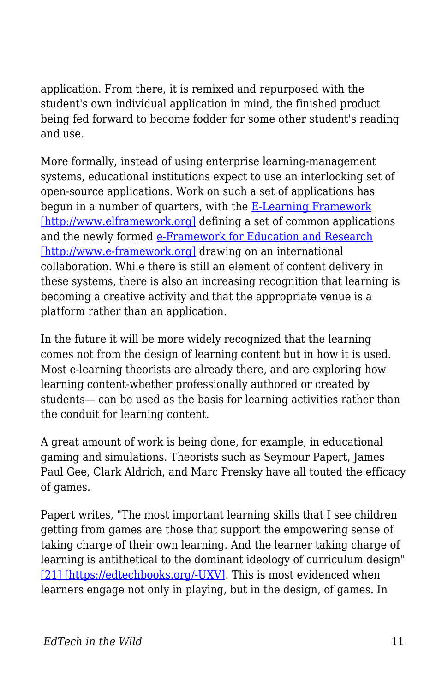application. From there, it is remixed and repurposed with the student's own individual application in mind, the finished product being fed forward to become fodder for some other student's reading and use.

More formally, instead of using enterprise learning-management systems, educational institutions expect to use an interlocking set of open-source applications. Work on such a set of applications has begun in a number of quarters, with the [E-Learning Framework](http://www.elframework.org) [\[http://www.elframework.org\]](http://www.elframework.org) defining a set of common applications and the newly formed [e-Framework for Education and Research](http://www.e-framework.org) [\[http://www.e-framework.org\]](http://www.e-framework.org) drawing on an international collaboration. While there is still an element of content delivery in these systems, there is also an increasing recognition that learning is becoming a creative activity and that the appropriate venue is a platform rather than an application.

In the future it will be more widely recognized that the learning comes not from the design of learning content but in how it is used. Most e-learning theorists are already there, and are exploring how learning content-whether professionally authored or created by students— can be used as the basis for learning activities rather than the conduit for learning content.

A great amount of work is being done, for example, in educational gaming and simulations. Theorists such as Seymour Papert, James Paul Gee, Clark Aldrich, and Marc Prensky have all touted the efficacy of games.

Papert writes, "The most important learning skills that I see children getting from games are those that support the empowering sense of taking charge of their own learning. And the learner taking charge of learning is antithetical to the dominant ideology of curriculum design" [\[21\] \[https://edtechbooks.org/-UXV\]](http://www.papert.org/articles/Doeseasydoit.html). This is most evidenced when learners engage not only in playing, but in the design, of games. In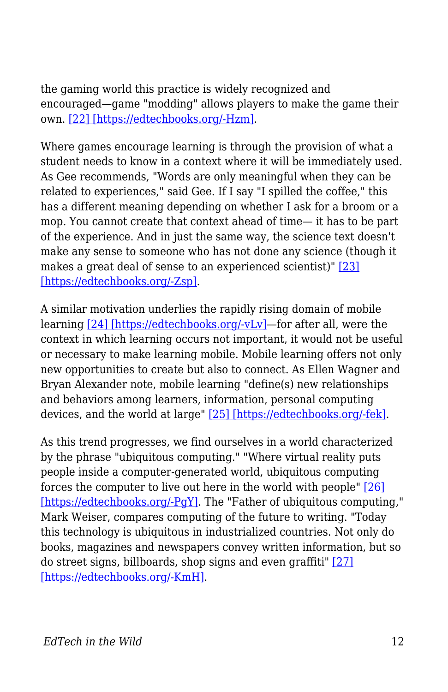the gaming world this practice is widely recognized and encouraged—game "modding" allows players to make the game their own. [\[22\] \[https://edtechbooks.org/-Hzm\]](http://www.hollywoodreporter.com/thr/columns/tech_reporter_display.jsp?vnu_content_id=1000484956).

Where games encourage learning is through the provision of what a student needs to know in a context where it will be immediately used. As Gee recommends, "Words are only meaningful when they can be related to experiences," said Gee. If I say "I spilled the coffee," this has a different meaning depending on whether I ask for a broom or a mop. You cannot create that context ahead of time— it has to be part of the experience. And in just the same way, the science text doesn't make any sense to someone who has not done any science (though it makes a great deal of sense to an experienced scientist)" [\[23\]](http://www.downes.ca/cgi-bin/website/view.cgi?dbs=Article&key=1079385148) [\[https://edtechbooks.org/-Zsp\]](http://www.downes.ca/cgi-bin/website/view.cgi?dbs=Article&key=1079385148).

A similar motivation underlies the rapidly rising domain of mobile learning [\[24\] \[https://edtechbooks.org/-vLv\]—](https://edtechbooks.org/%5Bhttp:/ferl.becta.org.uk/display.cfm?page=65&catid=192&resid=5194&printable=1%22)for after all, were the context in which learning occurs not important, it would not be useful or necessary to make learning mobile. Mobile learning offers not only new opportunities to create but also to connect. As Ellen Wagner and Bryan Alexander note, mobile learning "define(s) new relationships and behaviors among learners, information, personal computing devices, and the world at large" [\[25\] \[https://edtechbooks.org/-fek\]](http://www.educause.edu/apps/er/erm05/erm0532.asp).

As this trend progresses, we find ourselves in a world characterized by the phrase "ubiquitous computing." "Where virtual reality puts people inside a computer-generated world, ubiquitous computing forces the computer to live out here in the world with people" [\[26\]](http://www.ubiq.com/hypertext/weiser/UbiHome.html) [\[https://edtechbooks.org/-PgY\]](http://www.ubiq.com/hypertext/weiser/UbiHome.html). The "Father of ubiquitous computing," Mark Weiser, compares computing of the future to writing. "Today this technology is ubiquitous in industrialized countries. Not only do books, magazines and newspapers convey written information, but so do street signs, billboards, shop signs and even graffiti" [\[27\]](http://www.ubiq.com/hypertext/weiser/SciAmDraft3.html) [\[https://edtechbooks.org/-KmH\].](http://www.ubiq.com/hypertext/weiser/SciAmDraft3.html)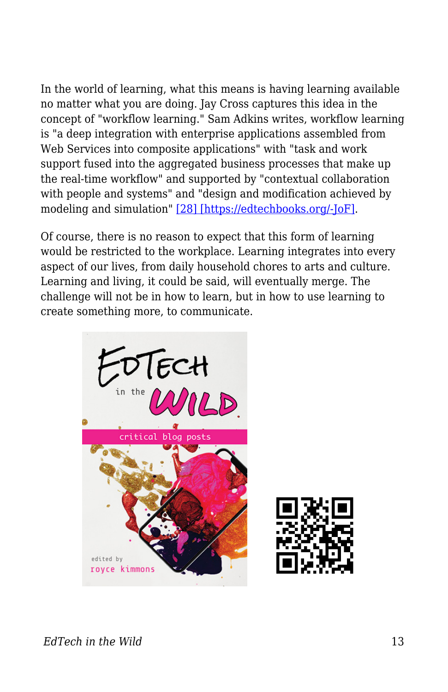In the world of learning, what this means is having learning available no matter what you are doing. Jay Cross captures this idea in the concept of "workflow learning." Sam Adkins writes, workflow learning is "a deep integration with enterprise applications assembled from Web Services into composite applications" with "task and work support fused into the aggregated business processes that make up the real-time workflow" and supported by "contextual collaboration with people and systems" and "design and modification achieved by modeling and simulation" [\[28\] \[https://edtechbooks.org/-JoF\].](http://www.Internettime.com/workflow/intro_wfl.htm)

Of course, there is no reason to expect that this form of learning would be restricted to the workplace. Learning integrates into every aspect of our lives, from daily household chores to arts and culture. Learning and living, it could be said, will eventually merge. The challenge will not be in how to learn, but in how to use learning to create something more, to communicate.